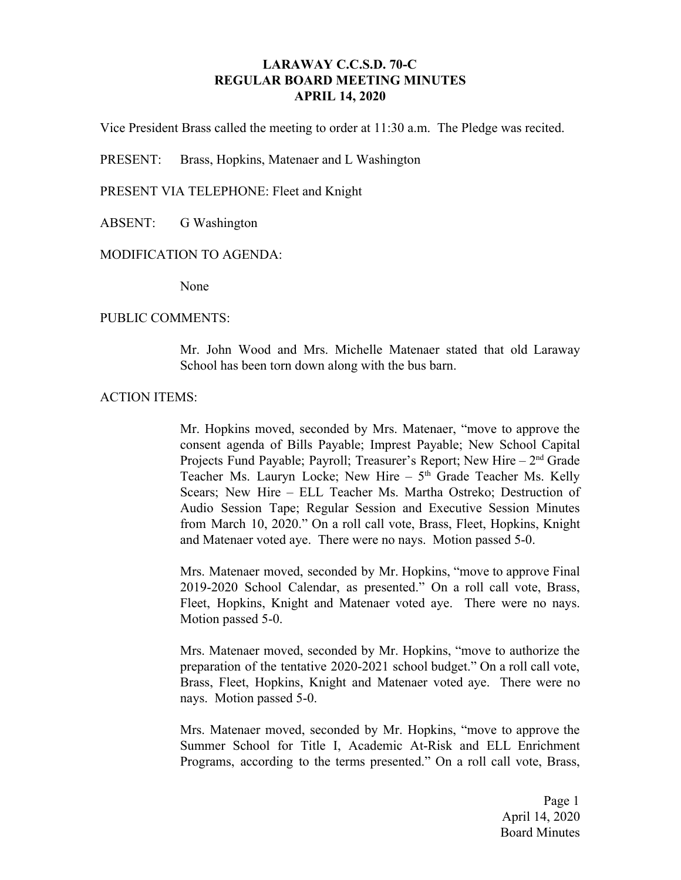## **LARAWAY C.C.S.D. 70-C REGULAR BOARD MEETING MINUTES APRIL 14, 2020**

Vice President Brass called the meeting to order at 11:30 a.m. The Pledge was recited.

PRESENT: Brass, Hopkins, Matenaer and L Washington

PRESENT VIA TELEPHONE: Fleet and Knight

ABSENT: G Washington

#### MODIFICATION TO AGENDA:

None

#### PUBLIC COMMENTS:

Mr. John Wood and Mrs. Michelle Matenaer stated that old Laraway School has been torn down along with the bus barn.

### ACTION ITEMS:

Mr. Hopkins moved, seconded by Mrs. Matenaer, "move to approve the consent agenda of Bills Payable; Imprest Payable; New School Capital Projects Fund Payable; Payroll; Treasurer's Report; New Hire - 2<sup>nd</sup> Grade Teacher Ms. Lauryn Locke; New Hire - 5<sup>th</sup> Grade Teacher Ms. Kelly Scears; New Hire – ELL Teacher Ms. Martha Ostreko; Destruction of Audio Session Tape; Regular Session and Executive Session Minutes from March 10, 2020." On a roll call vote, Brass, Fleet, Hopkins, Knight and Matenaer voted aye. There were no nays. Motion passed 5-0.

Mrs. Matenaer moved, seconded by Mr. Hopkins, "move to approve Final 2019-2020 School Calendar, as presented." On a roll call vote, Brass, Fleet, Hopkins, Knight and Matenaer voted aye. There were no nays. Motion passed 5-0.

Mrs. Matenaer moved, seconded by Mr. Hopkins, "move to authorize the preparation of the tentative 2020-2021 school budget." On a roll call vote, Brass, Fleet, Hopkins, Knight and Matenaer voted aye. There were no nays. Motion passed 5-0.

Mrs. Matenaer moved, seconded by Mr. Hopkins, "move to approve the Summer School for Title I, Academic At-Risk and ELL Enrichment Programs, according to the terms presented." On a roll call vote, Brass,

> Page 1 April 14, 2020 Board Minutes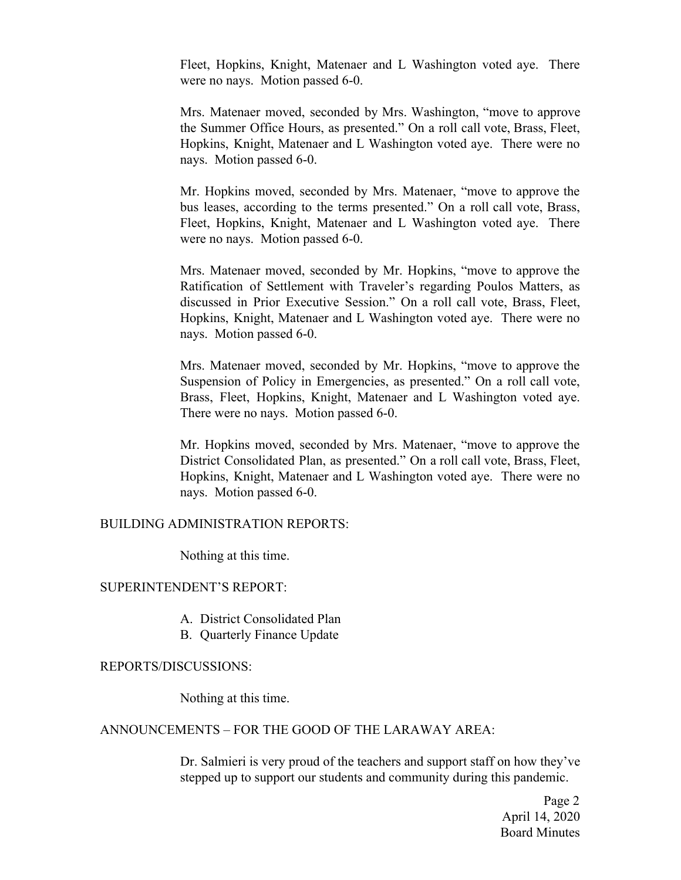Fleet, Hopkins, Knight, Matenaer and L Washington voted aye. There were no nays. Motion passed 6-0.

Mrs. Matenaer moved, seconded by Mrs. Washington, "move to approve the Summer Office Hours, as presented." On a roll call vote, Brass, Fleet, Hopkins, Knight, Matenaer and L Washington voted aye. There were no nays. Motion passed 6-0.

Mr. Hopkins moved, seconded by Mrs. Matenaer, "move to approve the bus leases, according to the terms presented." On a roll call vote, Brass, Fleet, Hopkins, Knight, Matenaer and L Washington voted aye. There were no nays. Motion passed 6-0.

Mrs. Matenaer moved, seconded by Mr. Hopkins, "move to approve the Ratification of Settlement with Traveler's regarding Poulos Matters, as discussed in Prior Executive Session." On a roll call vote, Brass, Fleet, Hopkins, Knight, Matenaer and L Washington voted aye. There were no nays. Motion passed 6-0.

Mrs. Matenaer moved, seconded by Mr. Hopkins, "move to approve the Suspension of Policy in Emergencies, as presented." On a roll call vote, Brass, Fleet, Hopkins, Knight, Matenaer and L Washington voted aye. There were no nays. Motion passed 6-0.

Mr. Hopkins moved, seconded by Mrs. Matenaer, "move to approve the District Consolidated Plan, as presented." On a roll call vote, Brass, Fleet, Hopkins, Knight, Matenaer and L Washington voted aye. There were no nays. Motion passed 6-0.

#### BUILDING ADMINISTRATION REPORTS:

Nothing at this time.

## SUPERINTENDENT'S REPORT:

- A. District Consolidated Plan
- B. Quarterly Finance Update

#### REPORTS/DISCUSSIONS:

Nothing at this time.

# ANNOUNCEMENTS – FOR THE GOOD OF THE LARAWAY AREA:

Dr. Salmieri is very proud of the teachers and support staff on how they've stepped up to support our students and community during this pandemic.

> Page 2 April 14, 2020 Board Minutes